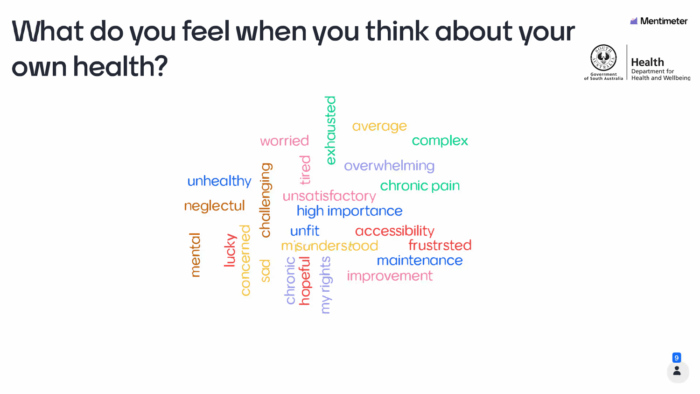# What do you feel when you think about your own health?

worried tired DO challengir unfit ights peful Sad

unhealthy neglectul mental lucky concern







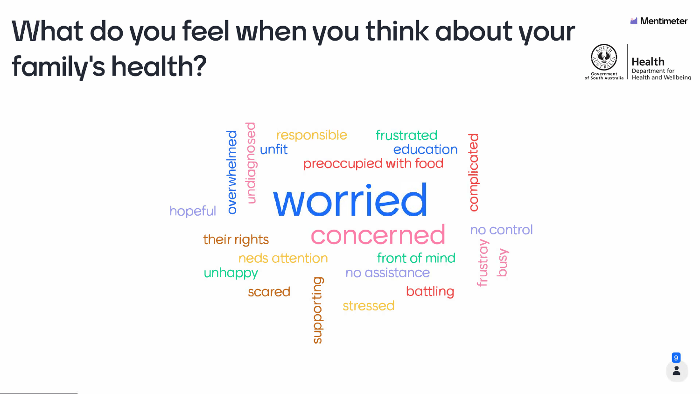# What do you feel when you think about your family's health?

#### $\overline{\mathbf{C}}$  $98$ responsible portwhelmed unfit undiagno hopeful their rights neds attention unhappy

scared

oporting







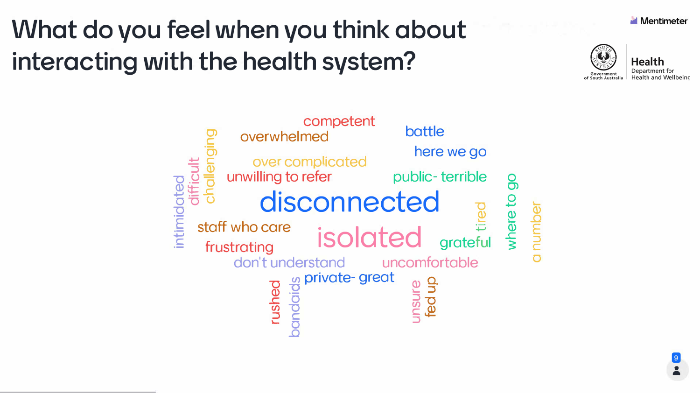# What do you feel when you think about interacting with the health system?

competent battle overwhelmed here we go over complicated dler unwilling to refer public-terrible 8 disconnected intimidat where to number staff who care isolated grateful frustrating don't understand uncomfortable private-great andaids dn pa nsure rushed







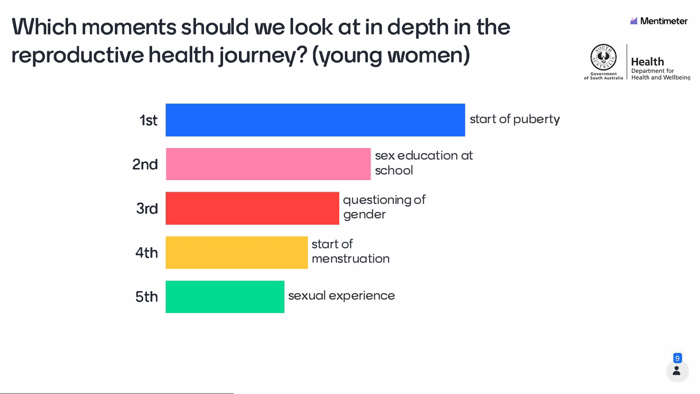#### **Which moments should we look at in depth in the reproductive health journey? (young women)**







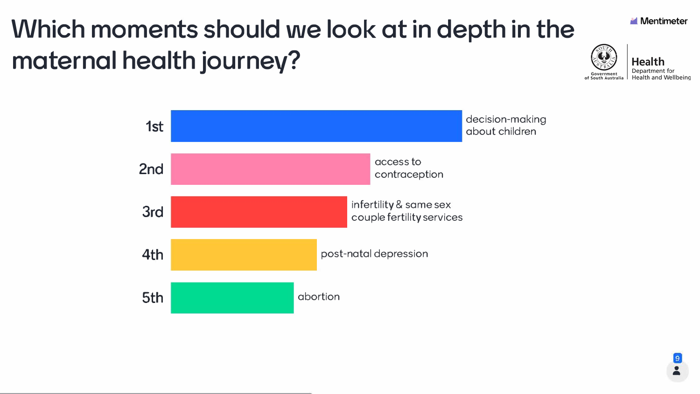## **Which moments should we look at in depth in the maternal health journev?**

access to contraception





infertility & same sex couple fertility services

post-natal depression

decision-making about children



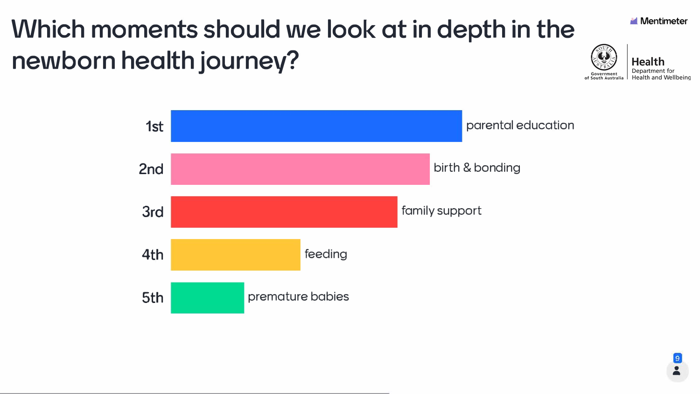## Which moments should we look at in depth in the newborn health journey?



![](_page_5_Picture_2.jpeg)

![](_page_5_Picture_3.jpeg)

![](_page_5_Picture_4.jpeg)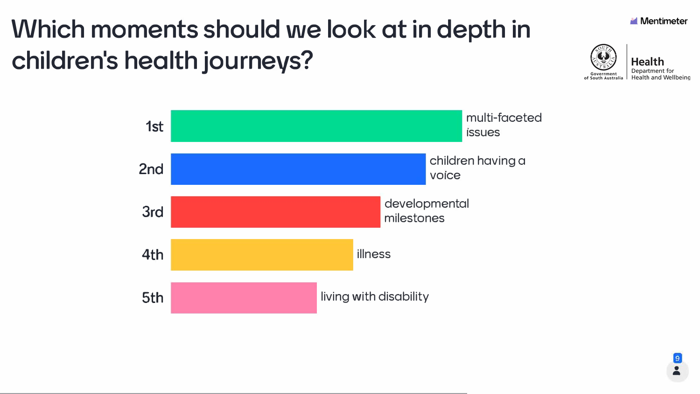## Which moments should we look at in depth in children's health journeys?

![](_page_6_Figure_1.jpeg)

![](_page_6_Picture_2.jpeg)

![](_page_6_Picture_3.jpeg)

![](_page_6_Picture_5.jpeg)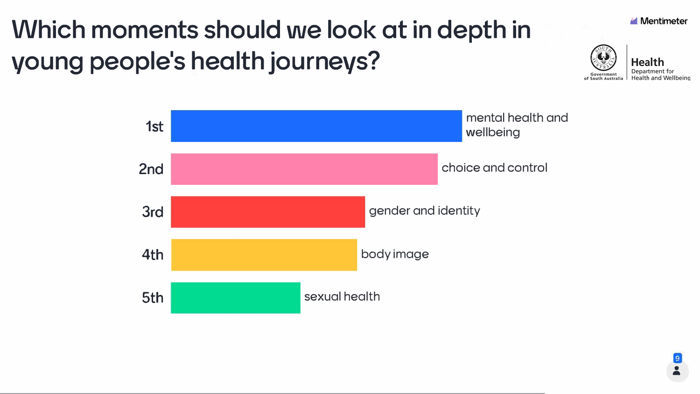# Which moments should we look at in depth in young people's health journeys?

![](_page_7_Figure_1.jpeg)

![](_page_7_Picture_2.jpeg)

![](_page_7_Picture_3.jpeg)

![](_page_7_Figure_5.jpeg)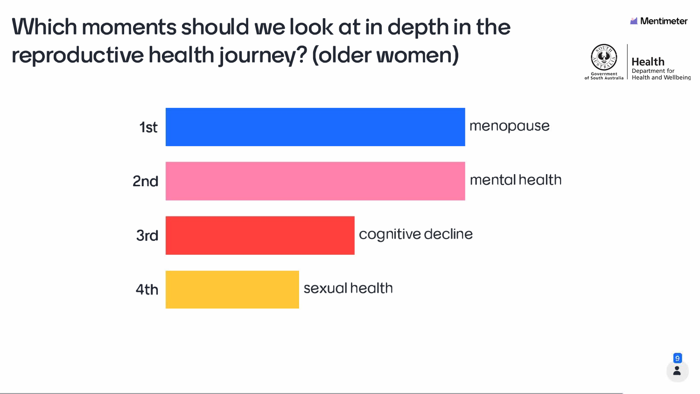#### **Which moments should we look at in depth in the reproductive health journey? (older women)**

![](_page_8_Figure_1.jpeg)

![](_page_8_Picture_2.jpeg)

![](_page_8_Picture_3.jpeg)

![](_page_8_Picture_5.jpeg)